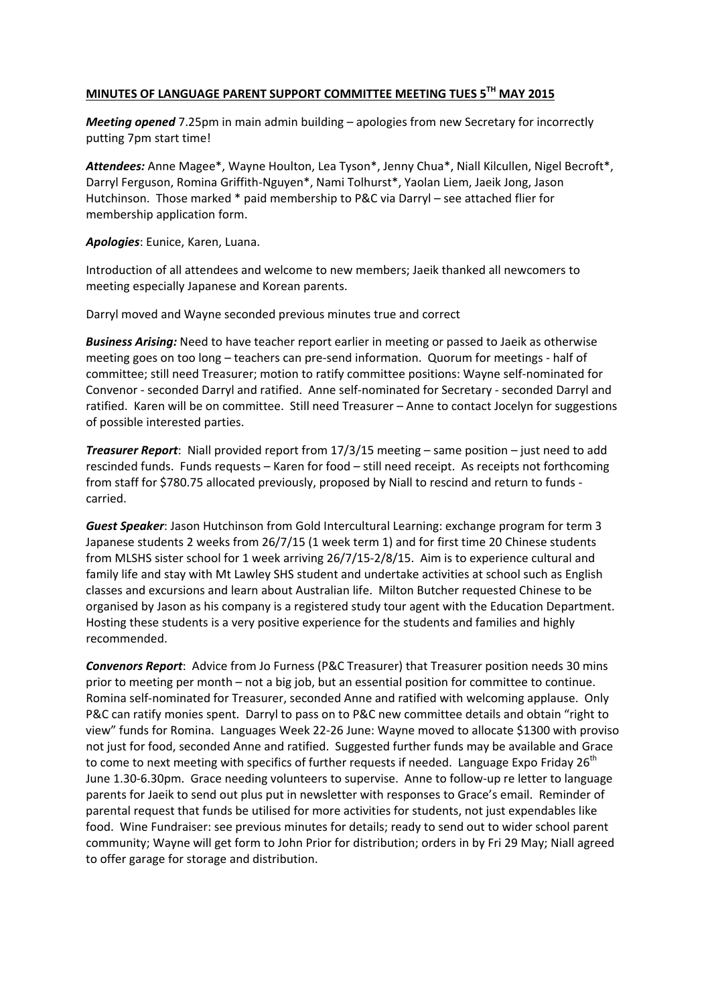## **MINUTES OF LANGUAGE PARENT SUPPORT COMMITTEE MEETING TUES 5TH MAY 2015**

*Meeting opened* 7.25pm in main admin building – apologies from new Secretary for incorrectly putting 7pm start time!

*Attendees:* Anne Magee\*, Wayne Houlton, Lea Tyson\*, Jenny Chua\*, Niall Kilcullen, Nigel Becroft\*, Darryl Ferguson, Romina Griffith‐Nguyen\*, Nami Tolhurst\*, Yaolan Liem, Jaeik Jong, Jason Hutchinson. Those marked \* paid membership to P&C via Darryl – see attached flier for membership application form.

*Apologies*: Eunice, Karen, Luana.

Introduction of all attendees and welcome to new members; Jaeik thanked all newcomers to meeting especially Japanese and Korean parents.

Darryl moved and Wayne seconded previous minutes true and correct

*Business Arising:* Need to have teacher report earlier in meeting or passed to Jaeik as otherwise meeting goes on too long – teachers can pre-send information. Quorum for meetings - half of committee; still need Treasurer; motion to ratify committee positions: Wayne self‐nominated for Convenor ‐ seconded Darryl and ratified. Anne self‐nominated for Secretary ‐ seconded Darryl and ratified. Karen will be on committee. Still need Treasurer – Anne to contact Jocelyn for suggestions of possible interested parties.

*Treasurer Report*: Niall provided report from 17/3/15 meeting – same position – just need to add rescinded funds. Funds requests – Karen for food – still need receipt. As receipts not forthcoming from staff for \$780.75 allocated previously, proposed by Niall to rescind and return to funds ‐ carried.

*Guest Speaker*: Jason Hutchinson from Gold Intercultural Learning: exchange program for term 3 Japanese students 2 weeks from 26/7/15 (1 week term 1) and for first time 20 Chinese students from MLSHS sister school for 1 week arriving 26/7/15-2/8/15. Aim is to experience cultural and family life and stay with Mt Lawley SHS student and undertake activities at school such as English classes and excursions and learn about Australian life. Milton Butcher requested Chinese to be organised by Jason as his company is a registered study tour agent with the Education Department. Hosting these students is a very positive experience for the students and families and highly recommended.

*Convenors Report*: Advice from Jo Furness (P&C Treasurer) that Treasurer position needs 30 mins prior to meeting per month – not a big job, but an essential position for committee to continue. Romina self‐nominated for Treasurer, seconded Anne and ratified with welcoming applause. Only P&C can ratify monies spent. Darryl to pass on to P&C new committee details and obtain "right to view" funds for Romina. Languages Week 22‐26 June: Wayne moved to allocate \$1300 with proviso not just for food, seconded Anne and ratified. Suggested further funds may be available and Grace to come to next meeting with specifics of further requests if needed. Language Expo Friday  $26<sup>th</sup>$ June 1.30‐6.30pm. Grace needing volunteers to supervise. Anne to follow‐up re letter to language parents for Jaeik to send out plus put in newsletter with responses to Grace's email. Reminder of parental request that funds be utilised for more activities for students, not just expendables like food. Wine Fundraiser: see previous minutes for details; ready to send out to wider school parent community; Wayne will get form to John Prior for distribution; orders in by Fri 29 May; Niall agreed to offer garage for storage and distribution.